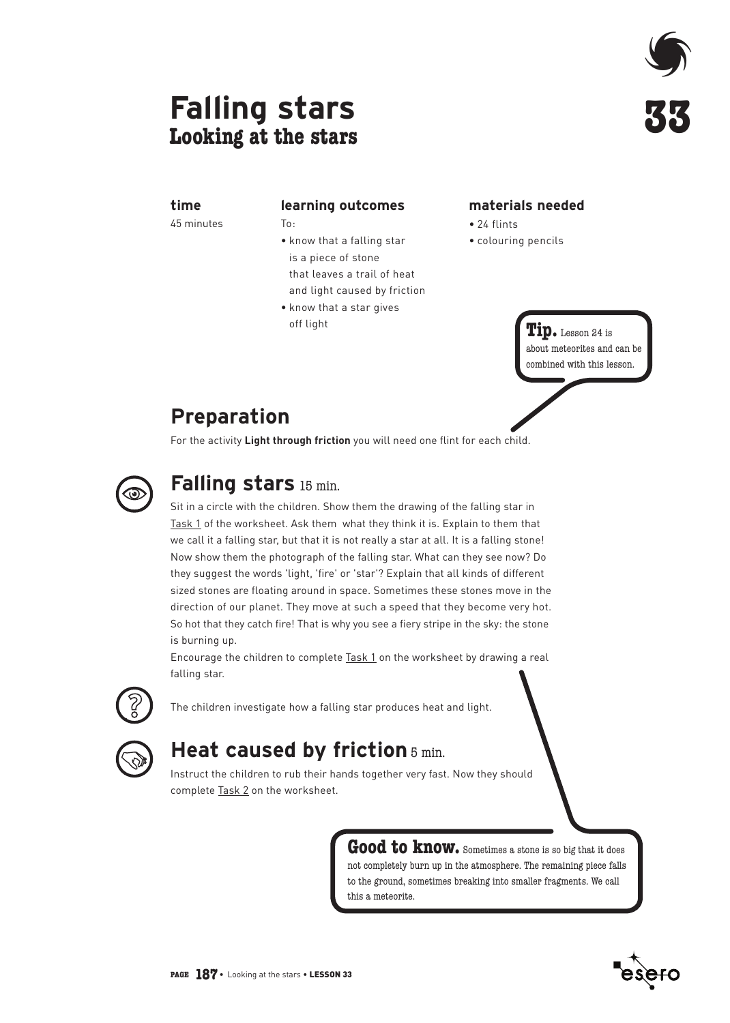# **Falling stars Looking at the stars**



### **time**

45 minutes

#### **learning outcomes**

 $To:$ 

- know that a falling star is a piece of stone that leaves a trail of heat and light caused by friction
- know that a star gives off light

### **materials needed**

- $24$  flints
- colouring pencils

**Tip.** Lesson 24 is about meteorites and can be combined with this lesson.

## **Preparation**

For the activity **Light through friction** you will need one flint for each child.



## **Falling stars** 15 min.

Sit in a circle with the children. Show them the drawing of the falling star in Task 1 of the worksheet. Ask them what they think it is. Explain to them that we call it a falling star, but that it is not really a star at all. It is a falling stone! Now show them the photograph of the falling star. What can they see now? Do they suggest the words 'light, 'fire' or 'star'? Explain that all kinds of different sized stones are floating around in space. Sometimes these stones move in the direction of our planet. They move at such a speed that they become very hot. So hot that they catch fire! That is why you see a fiery stripe in the sky: the stone is burning up.

Encourage the children to complete Task 1 on the worksheet by drawing a real falling star.



The children investigate how a falling star produces heat and light.

## **Heat caused by friction**  $5$  min.

Instruct the children to rub their hands together very fast. Now they should complete Task 2 on the worksheet.

> **Good to know.** Sometimes a stone is so big that it does not completely burn up in the atmosphere. The remaining piece falls to the ground, sometimes breaking into smaller fragments. We call this a meteorite.

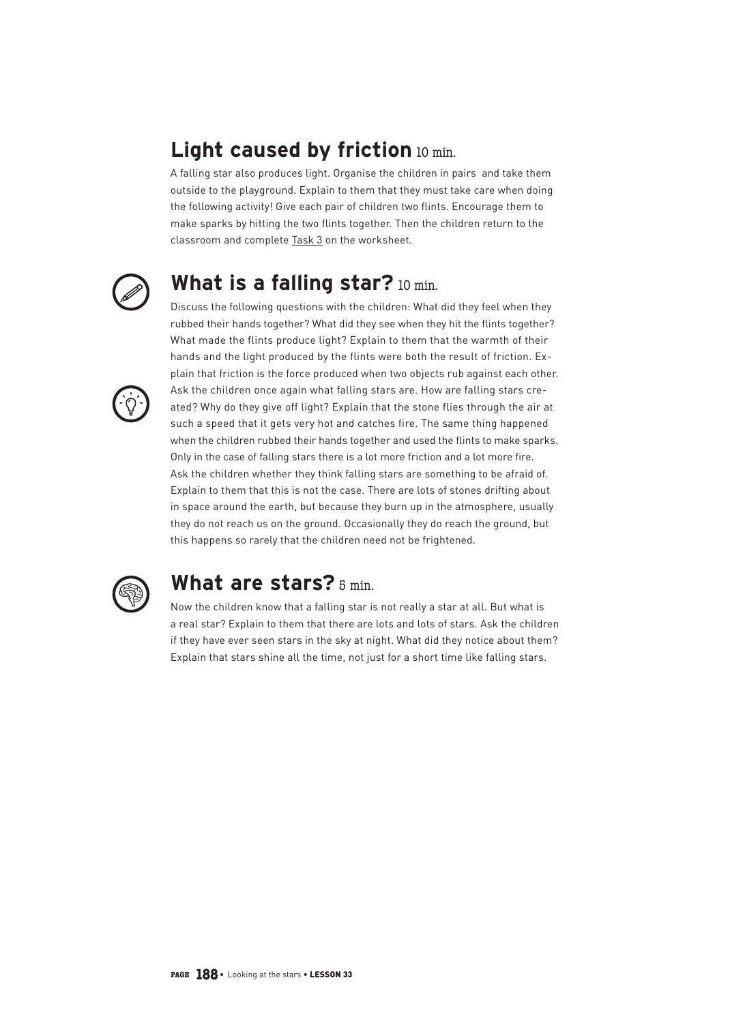## Light caused by friction 10 min.

A falling star also produces light. Organise the children in pairs and take them outside to the playground. Explain to them that they must take care when doing the following activity! Give each pair of children two flints. Encourage them to make sparks by hitting the two flints together. Then the children return to the classroom and complete Task 3 on the worksheet.



## **What is a falling star?** 10 min.

Discuss the following questions with the children: What did they feel when they rubbed their hands together? What did they see when they hit the flints together? What made the flints produce light? Explain to them that the warmth of their hands and the light produced by the flints were both the result of friction. Explain that friction is the force produced when two objects rub against each other. Ask the children once again what falling stars are. How are falling stars created? Why do they give off light? Explain that the stone flies through the air at such a speed that it gets very hot and catches fire. The same thing happened when the children rubbed their hands together and used the flints to make sparks. Only in the case of falling stars there is a lot more friction and a lot more fire. Ask the children whether they think falling stars are something to be afraid of. Explain to them that this is not the case. There are lots of stones drifting about in space around the earth, but because they burn up in the atmosphere, usually they do not reach us on the ground. Occasionally they do reach the ground, but this happens so rarely that the children need not be frightened.



### **What are stars?** 5 min.

Now the children know that a falling star is not really a star at all. But what is a real star? Explain to them that there are lots and lots of stars. Ask the children if they have ever seen stars in the sky at night. What did they notice about them? Explain that stars shine all the time, not just for a short time like falling stars.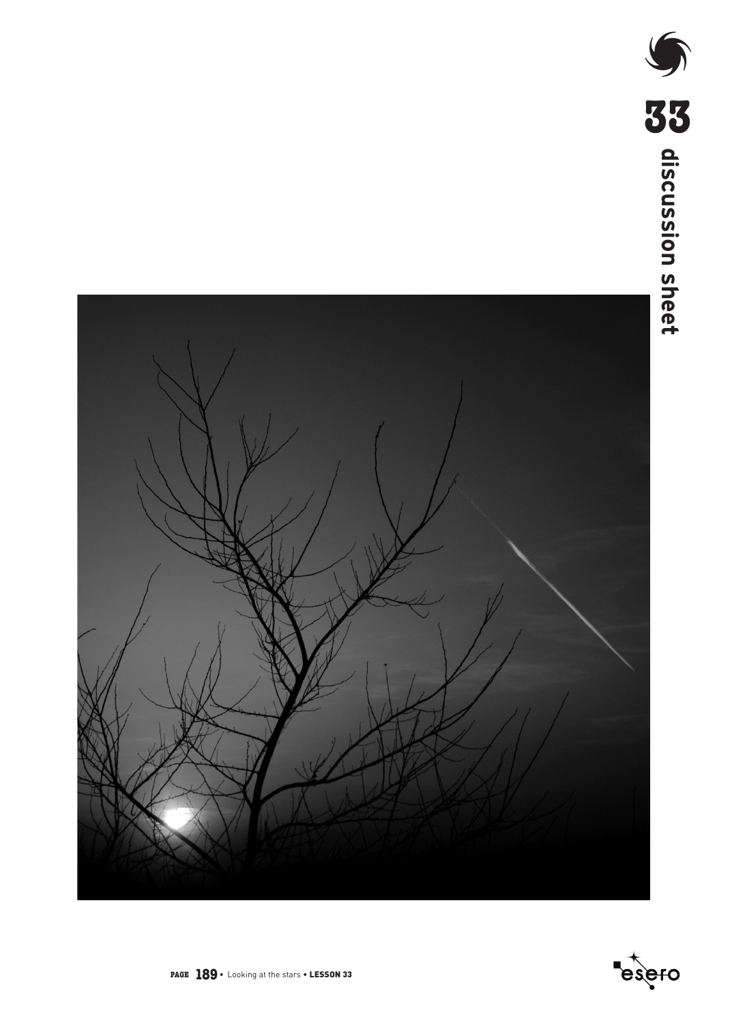



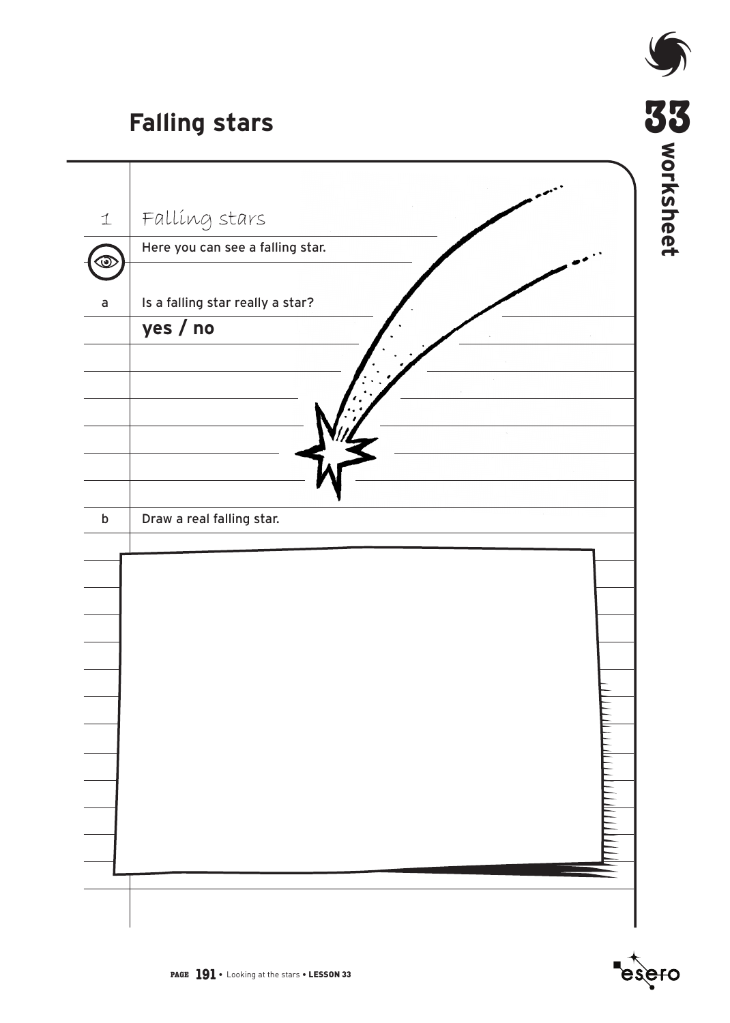# **Falling stars**

 $\overline{\phantom{0}}$ 

|               | <b>Falling stars</b>                         | <b>SS</b><br>SAJOM <b>SS</b> |
|---------------|----------------------------------------------|------------------------------|
|               |                                              |                              |
| $\perp$       | Falling stars                                |                              |
| $\bm{\omega}$ | Here you can see a falling star.             |                              |
|               |                                              |                              |
| $\mathsf a$   | Is a falling star really a star?<br>yes / no |                              |
|               |                                              |                              |
|               |                                              |                              |
|               |                                              |                              |
|               |                                              |                              |
|               |                                              |                              |
|               |                                              |                              |
| $\sf b$       | Draw a real falling star.                    |                              |
|               |                                              |                              |
|               |                                              |                              |
|               |                                              |                              |
|               |                                              |                              |
|               |                                              |                              |
|               |                                              |                              |
|               |                                              |                              |
|               |                                              |                              |
|               |                                              |                              |
|               |                                              |                              |
|               |                                              |                              |
|               |                                              |                              |
|               |                                              |                              |
|               |                                              |                              |